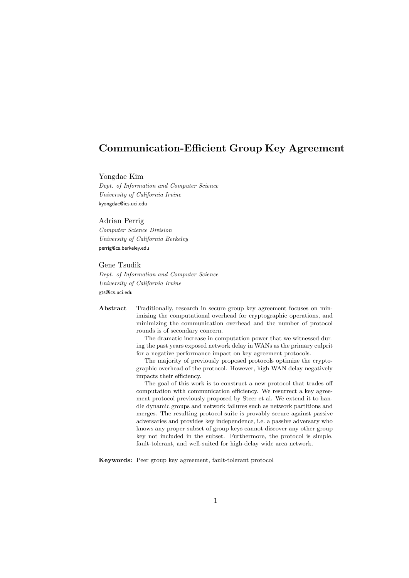# Communication-Efficient Group Key Agreement

### Yongdae Kim

Dept. of Information and Computer Science University of California Irvine kyongdae@ics.uci.edu

### Adrian Perrig

Computer Science Division University of California Berkeley perrig@cs.berkeley.edu

#### Gene Tsudik

Dept. of Information and Computer Science University of California Irvine gts@ics.uci.edu

Abstract Traditionally, research in secure group key agreement focuses on minimizing the computational overhead for cryptographic operations, and minimizing the communication overhead and the number of protocol rounds is of secondary concern.

> The dramatic increase in computation power that we witnessed during the past years exposed network delay in WANs as the primary culprit for a negative performance impact on key agreement protocols.

> The majority of previously proposed protocols optimize the cryptographic overhead of the protocol. However, high WAN delay negatively impacts their efficiency.

> The goal of this work is to construct a new protocol that trades off computation with communication efficiency. We resurrect a key agreement protocol previously proposed by Steer et al. We extend it to handle dynamic groups and network failures such as network partitions and merges. The resulting protocol suite is provably secure against passive adversaries and provides key independence, i.e. a passive adversary who knows any proper subset of group keys cannot discover any other group key not included in the subset. Furthermore, the protocol is simple, fault-tolerant, and well-suited for high-delay wide area network.

Keywords: Peer group key agreement, fault-tolerant protocol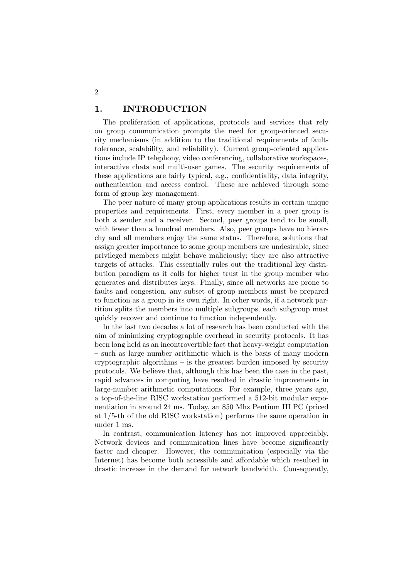# 1. INTRODUCTION

The proliferation of applications, protocols and services that rely on group communication prompts the need for group-oriented security mechanisms (in addition to the traditional requirements of faulttolerance, scalability, and reliability). Current group-oriented applications include IP telephony, video conferencing, collaborative workspaces, interactive chats and multi-user games. The security requirements of these applications are fairly typical, e.g., confidentiality, data integrity, authentication and access control. These are achieved through some form of group key management.

The peer nature of many group applications results in certain unique properties and requirements. First, every member in a peer group is both a sender and a receiver. Second, peer groups tend to be small, with fewer than a hundred members. Also, peer groups have no hierarchy and all members enjoy the same status. Therefore, solutions that assign greater importance to some group members are undesirable, since privileged members might behave maliciously; they are also attractive targets of attacks. This essentially rules out the traditional key distribution paradigm as it calls for higher trust in the group member who generates and distributes keys. Finally, since all networks are prone to faults and congestion, any subset of group members must be prepared to function as a group in its own right. In other words, if a network partition splits the members into multiple subgroups, each subgroup must quickly recover and continue to function independently.

In the last two decades a lot of research has been conducted with the aim of minimizing cryptographic overhead in security protocols. It has been long held as an incontrovertible fact that heavy-weight computation – such as large number arithmetic which is the basis of many modern cryptographic algorithms – is the greatest burden imposed by security protocols. We believe that, although this has been the case in the past, rapid advances in computing have resulted in drastic improvements in large-number arithmetic computations. For example, three years ago, a top-of-the-line RISC workstation performed a 512-bit modular exponentiation in around 24 ms. Today, an 850 Mhz Pentium III PC (priced at 1/5-th of the old RISC workstation) performs the same operation in under 1 ms.

In contrast, communication latency has not improved appreciably. Network devices and communication lines have become significantly faster and cheaper. However, the communication (especially via the Internet) has become both accessible and affordable which resulted in drastic increase in the demand for network bandwidth. Consequently,

2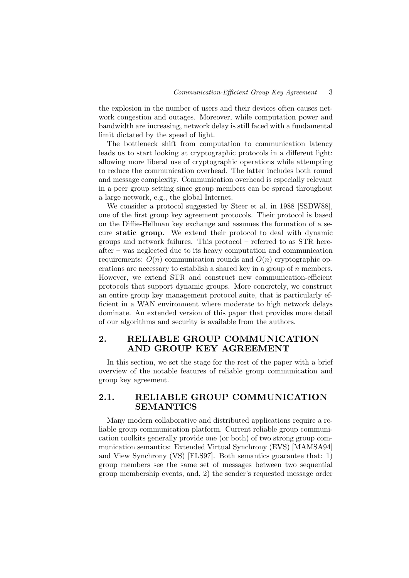the explosion in the number of users and their devices often causes network congestion and outages. Moreover, while computation power and bandwidth are increasing, network delay is still faced with a fundamental limit dictated by the speed of light.

The bottleneck shift from computation to communication latency leads us to start looking at cryptographic protocols in a different light: allowing more liberal use of cryptographic operations while attempting to reduce the communication overhead. The latter includes both round and message complexity. Communication overhead is especially relevant in a peer group setting since group members can be spread throughout a large network, e.g., the global Internet.

We consider a protocol suggested by Steer et al. in 1988 [SSDW88], one of the first group key agreement protocols. Their protocol is based on the Diffie-Hellman key exchange and assumes the formation of a secure static group. We extend their protocol to deal with dynamic groups and network failures. This protocol – referred to as STR hereafter – was neglected due to its heavy computation and communication requirements:  $O(n)$  communication rounds and  $O(n)$  cryptographic operations are necessary to establish a shared key in a group of  $n$  members. However, we extend STR and construct new communication-efficient protocols that support dynamic groups. More concretely, we construct an entire group key management protocol suite, that is particularly efficient in a WAN environment where moderate to high network delays dominate. An extended version of this paper that provides more detail of our algorithms and security is available from the authors.

# 2. RELIABLE GROUP COMMUNICATION AND GROUP KEY AGREEMENT

In this section, we set the stage for the rest of the paper with a brief overview of the notable features of reliable group communication and group key agreement.

# 2.1. RELIABLE GROUP COMMUNICATION SEMANTICS

Many modern collaborative and distributed applications require a reliable group communication platform. Current reliable group communication toolkits generally provide one (or both) of two strong group communication semantics: Extended Virtual Synchrony (EVS) [MAMSA94] and View Synchrony (VS) [FLS97]. Both semantics guarantee that: 1) group members see the same set of messages between two sequential group membership events, and, 2) the sender's requested message order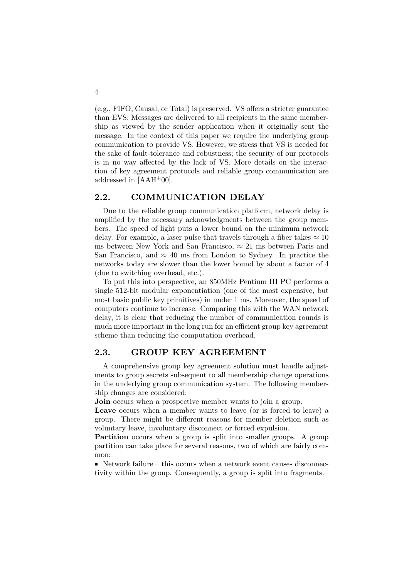(e.g., FIFO, Causal, or Total) is preserved. VS offers a stricter guarantee than EVS: Messages are delivered to all recipients in the same membership as viewed by the sender application when it originally sent the message. In the context of this paper we require the underlying group communication to provide VS. However, we stress that VS is needed for the sake of fault-tolerance and robustness; the security of our protocols is in no way affected by the lack of VS. More details on the interaction of key agreement protocols and reliable group communication are addressed in  $[AAH^+00]$ .

# 2.2. COMMUNICATION DELAY

Due to the reliable group communication platform, network delay is amplified by the necessary acknowledgments between the group members. The speed of light puts a lower bound on the minimum network delay. For example, a laser pulse that travels through a fiber takes  $\approx 10$ ms between New York and San Francisco,  $\approx 21$  ms between Paris and San Francisco, and  $\approx$  40 ms from London to Sydney. In practice the networks today are slower than the lower bound by about a factor of 4 (due to switching overhead, etc.).

To put this into perspective, an 850MHz Pentium III PC performs a single 512-bit modular exponentiation (one of the most expensive, but most basic public key primitives) in under 1 ms. Moreover, the speed of computers continue to increase. Comparing this with the WAN network delay, it is clear that reducing the number of communication rounds is much more important in the long run for an efficient group key agreement scheme than reducing the computation overhead.

# 2.3. GROUP KEY AGREEMENT

A comprehensive group key agreement solution must handle adjustments to group secrets subsequent to all membership change operations in the underlying group communication system. The following membership changes are considered:

**Join** occurs when a prospective member wants to join a group.

Leave occurs when a member wants to leave (or is forced to leave) a group. There might be different reasons for member deletion such as voluntary leave, involuntary disconnect or forced expulsion.

Partition occurs when a group is split into smaller groups. A group partition can take place for several reasons, two of which are fairly common:

 $\blacksquare$  Network failure – this occurs when a network event causes disconnectivity within the group. Consequently, a group is split into fragments.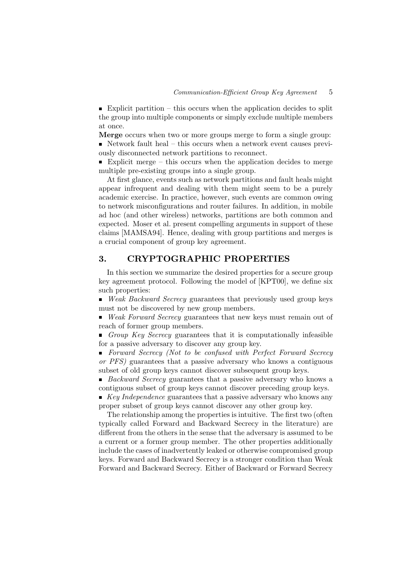Explicit partition – this occurs when the application decides to split the group into multiple components or simply exclude multiple members at once.

Merge occurs when two or more groups merge to form a single group: Network fault heal – this occurs when a network event causes previously disconnected network partitions to reconnect.

Explicit merge – this occurs when the application decides to merge multiple pre-existing groups into a single group.

At first glance, events such as network partitions and fault heals might appear infrequent and dealing with them might seem to be a purely academic exercise. In practice, however, such events are common owing to network misconfigurations and router failures. In addition, in mobile ad hoc (and other wireless) networks, partitions are both common and expected. Moser et al. present compelling arguments in support of these claims [MAMSA94]. Hence, dealing with group partitions and merges is a crucial component of group key agreement.

# 3. CRYPTOGRAPHIC PROPERTIES

In this section we summarize the desired properties for a secure group key agreement protocol. Following the model of [KPT00], we define six such properties:

 $\blacksquare$  Weak Backward Secrecy guarantees that previously used group keys must not be discovered by new group members.

■ *Weak Forward Secrecy* guarantees that new keys must remain out of reach of former group members.

Group Key Secrecy guarantees that it is computationally infeasible for a passive adversary to discover any group key.

■ Forward Secrecy (Not to be confused with Perfect Forward Secrecy or PFS) guarantees that a passive adversary who knows a contiguous subset of old group keys cannot discover subsequent group keys.

**Backward Secrecy guarantees that a passive adversary who knows a** contiguous subset of group keys cannot discover preceding group keys.

 $\blacksquare$  Key Independence guarantees that a passive adversary who knows any proper subset of group keys cannot discover any other group key.

The relationship among the properties is intuitive. The first two (often typically called Forward and Backward Secrecy in the literature) are different from the others in the sense that the adversary is assumed to be a current or a former group member. The other properties additionally include the cases of inadvertently leaked or otherwise compromised group keys. Forward and Backward Secrecy is a stronger condition than Weak Forward and Backward Secrecy. Either of Backward or Forward Secrecy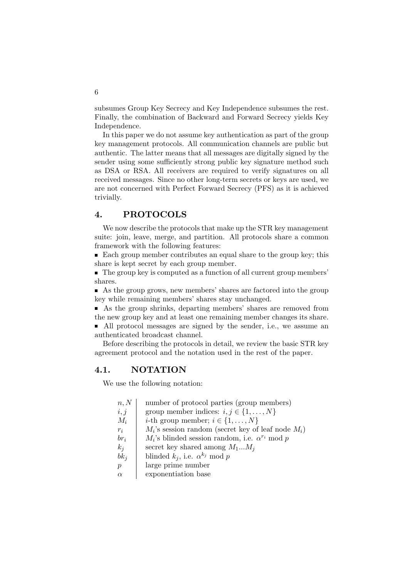subsumes Group Key Secrecy and Key Independence subsumes the rest. Finally, the combination of Backward and Forward Secrecy yields Key Independence.

In this paper we do not assume key authentication as part of the group key management protocols. All communication channels are public but authentic. The latter means that all messages are digitally signed by the sender using some sufficiently strong public key signature method such as DSA or RSA. All receivers are required to verify signatures on all received messages. Since no other long-term secrets or keys are used, we are not concerned with Perfect Forward Secrecy (PFS) as it is achieved trivially.

# 4. PROTOCOLS

We now describe the protocols that make up the STR key management suite: join, leave, merge, and partition. All protocols share a common framework with the following features:

■ Each group member contributes an equal share to the group key; this share is kept secret by each group member.

The group key is computed as a function of all current group members' shares.

As the group grows, new members' shares are factored into the group key while remaining members' shares stay unchanged.

As the group shrinks, departing members' shares are removed from the new group key and at least one remaining member changes its share. All protocol messages are signed by the sender, i.e., we assume an authenticated broadcast channel.

Before describing the protocols in detail, we review the basic STR key agreement protocol and the notation used in the rest of the paper.

### 4.1. NOTATION

We use the following notation:

| n, N             | number of protocol parties (group members)                 |
|------------------|------------------------------------------------------------|
| i, j             | group member indices: $i, j \in \{1, , N\}$                |
| $M_i$            | <i>i</i> -th group member; $i \in \{1, , N\}$              |
| $r_i$            | $M_i$ 's session random (secret key of leaf node $M_i$ )   |
| $br_i$           | $M_i$ 's blinded session random, i.e. $\alpha^{r_i}$ mod p |
| $k_j$            | secret key shared among $M_1M_j$                           |
| $bk_j$           | blinded $k_j$ , i.e. $\alpha^{k_j}$ mod p                  |
| $\boldsymbol{p}$ | large prime number                                         |
| $\alpha$         | exponentiation base                                        |
|                  |                                                            |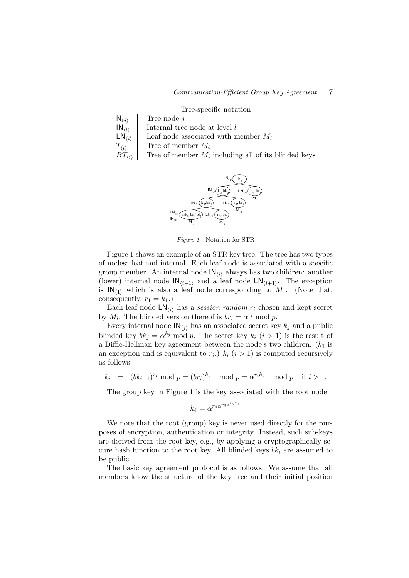Tree-specific notation

 $N_{\langle i \rangle}$  Tree node j

 $IN_{\langle l \rangle}$ <br>LN $_{\langle i \rangle}$ Internal tree node at level  $l$ 

 $\begin{array}{c|c}\n\text{LN}_{\langle i \rangle} & \text{Leaf node associated with member } M_i \\
T_{\langle i \rangle} & \text{Tree of member } M_i \\
\hline\nBT_{\langle i \rangle} & \text{Tree of member } M_i \text{ including all of its } \n\end{array}$ 

Tree of member  $M_i$ 

 $BT_{\langle i \rangle}$  Tree of member  $M_i$  including all of its blinded keys



Figure 1 Notation for STR

Figure 1 shows an example of an STR key tree. The tree has two types of nodes: leaf and internal. Each leaf node is associated with a specific group member. An internal node  $\mathsf{IN}_{\langle i \rangle}$  always has two children: another (lower) internal node  $\mathsf{IN}_{\langle i-1\rangle}$  and a leaf node  $\mathsf{LN}_{\langle i+1\rangle}$ . The exception is  $IN_{(1)}$  which is also a leaf node corresponding to  $M_1$ . (Note that, consequently,  $r_1 = k_1$ .)

Each leaf node  $LN_{\langle i \rangle}$  has a session random  $r_i$  chosen and kept secret by  $M_i$ . The blinded version thereof is  $br_i = \alpha^{r_i} \text{ mod } p$ .

Every internal node  $\mathsf{IN}_{(i)}$  has an associated secret key  $k_j$  and a public blinded key  $bk_j = \alpha^{k_j} \mod p$ . The secret key  $k_i$   $(i > 1)$  is the result of a Diffie-Hellman key agreement between the node's two children.  $(k_1$  is an exception and is equivalent to  $r_i$ .)  $k_i$   $(i > 1)$  is computed recursively as follows:

$$
k_i = (bk_{i-1})^{r_i} \mod p = (br_i)^{k_{i-1}} \mod p = \alpha^{r_i k_{i-1}} \mod p \text{ if } i > 1.
$$

The group key in Figure 1 is the key associated with the root node:

$$
k_4 = \alpha^{r_4 \alpha^{r_3 \alpha^{r_2 r_1}}}
$$

We note that the root (group) key is never used directly for the purposes of encryption, authentication or integrity. Instead, such sub-keys are derived from the root key, e.g., by applying a cryptographically secure hash function to the root key. All blinded keys  $bk_i$  are assumed to be public.

The basic key agreement protocol is as follows. We assume that all members know the structure of the key tree and their initial position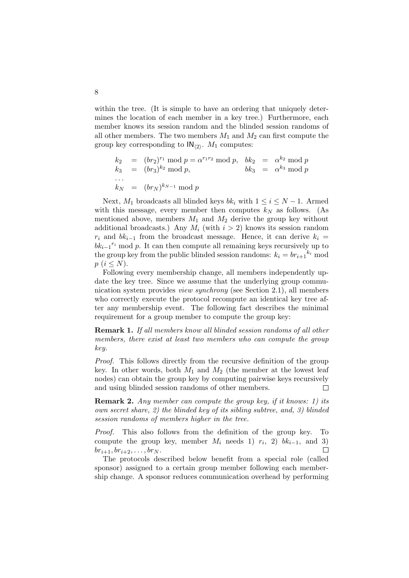within the tree. (It is simple to have an ordering that uniquely determines the location of each member in a key tree.) Furthermore, each member knows its session random and the blinded session randoms of all other members. The two members  $M_1$  and  $M_2$  can first compute the group key corresponding to  $\mathsf{IN}_{\langle 2 \rangle}$ .  $M_1$  computes:

$$
k_2 = (br_2)^{r_1} \mod p = \alpha^{r_1 r_2} \mod p, \quad bk_2 = \alpha^{k_2} \mod p
$$
  
\n
$$
k_3 = (br_3)^{k_2} \mod p, \qquad bk_3 = \alpha^{k_3} \mod p
$$
  
\n...  
\n
$$
k_N = (br_N)^{k_{N-1}} \mod p
$$

Next,  $M_1$  broadcasts all blinded keys  $bk_i$  with  $1 \leq i \leq N-1$ . Armed with this message, every member then computes  $k_N$  as follows. (As mentioned above, members  $M_1$  and  $M_2$  derive the group key without additional broadcasts.) Any  $M_i$  (with  $i > 2$ ) knows its session random  $r_i$  and  $bk_{i-1}$  from the broadcast message. Hence, it can derive  $k_i =$  $bk_{i-1}$ <sup>r<sub>i</sub></sup> mod p. It can then compute all remaining keys recursively up to the group key from the public blinded session randoms:  $k_i = br_{i+1}^{k_i}$  mod  $p\ (i\leq N).$ 

Following every membership change, all members independently update the key tree. Since we assume that the underlying group communication system provides view synchrony (see Section 2.1), all members who correctly execute the protocol recompute an identical key tree after any membership event. The following fact describes the minimal requirement for a group member to compute the group key:

Remark 1. If all members know all blinded session randoms of all other members, there exist at least two members who can compute the group key.

Proof. This follows directly from the recursive definition of the group key. In other words, both  $M_1$  and  $M_2$  (the member at the lowest leaf nodes) can obtain the group key by computing pairwise keys recursively and using blinded session randoms of other members.  $\Box$ 

Remark 2. Any member can compute the group key, if it knows: 1) its own secret share, 2) the blinded key of its sibling subtree, and, 3) blinded session randoms of members higher in the tree.

Proof. This also follows from the definition of the group key. To compute the group key, member  $M_i$  needs 1)  $r_i$ , 2)  $bk_{i-1}$ , and 3)  $\Box$  $br_{i+1}, br_{i+2}, \ldots, br_N$ .

The protocols described below benefit from a special role (called sponsor) assigned to a certain group member following each membership change. A sponsor reduces communication overhead by performing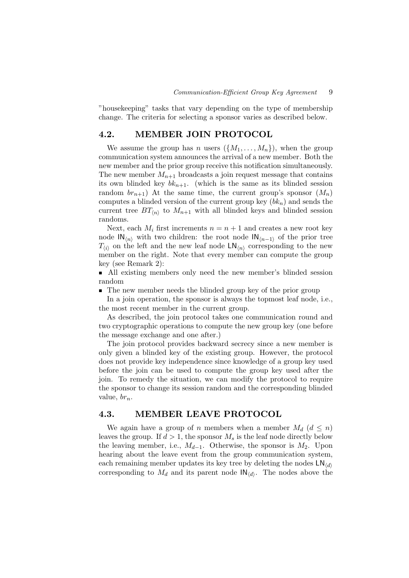"housekeeping" tasks that vary depending on the type of membership change. The criteria for selecting a sponsor varies as described below.

# 4.2. MEMBER JOIN PROTOCOL

We assume the group has n users  $({M_1, \ldots, M_n})$ , when the group communication system announces the arrival of a new member. Both the new member and the prior group receive this notification simultaneously. The new member  $M_{n+1}$  broadcasts a join request message that contains its own blinded key  $bk_{n+1}$ . (which is the same as its blinded session random  $br_{n+1}$ ) At the same time, the current group's sponsor  $(M_n)$ computes a blinded version of the current group key  $(bk_n)$  and sends the current tree  $BT_{\langle n\rangle}$  to  $M_{n+1}$  with all blinded keys and blinded session randoms.

Next, each  $M_i$  first increments  $n = n + 1$  and creates a new root key node  $\mathsf{IN}_{n}$  with two children: the root node  $\mathsf{IN}_{n-1}$  of the prior tree  $T_{\langle i \rangle}$  on the left and the new leaf node  $LN_{\langle n \rangle}$  corresponding to the new member on the right. Note that every member can compute the group key (see Remark 2):

All existing members only need the new member's blinded session random

■ The new member needs the blinded group key of the prior group

In a join operation, the sponsor is always the topmost leaf node, i.e., the most recent member in the current group.

As described, the join protocol takes one communication round and two cryptographic operations to compute the new group key (one before the message exchange and one after.)

The join protocol provides backward secrecy since a new member is only given a blinded key of the existing group. However, the protocol does not provide key independence since knowledge of a group key used before the join can be used to compute the group key used after the join. To remedy the situation, we can modify the protocol to require the sponsor to change its session random and the corresponding blinded value,  $br_n$ .

# 4.3. MEMBER LEAVE PROTOCOL

We again have a group of n members when a member  $M_d$   $(d \leq n)$ leaves the group. If  $d > 1$ , the sponsor  $M_s$  is the leaf node directly below the leaving member, i.e.,  $M_{d-1}$ . Otherwise, the sponsor is  $M_2$ . Upon hearing about the leave event from the group communication system, each remaining member updates its key tree by deleting the nodes  $LN_{\langle d \rangle}$ corresponding to  $M_d$  and its parent node  $\mathsf{IN}_{\langle d \rangle}$ . The nodes above the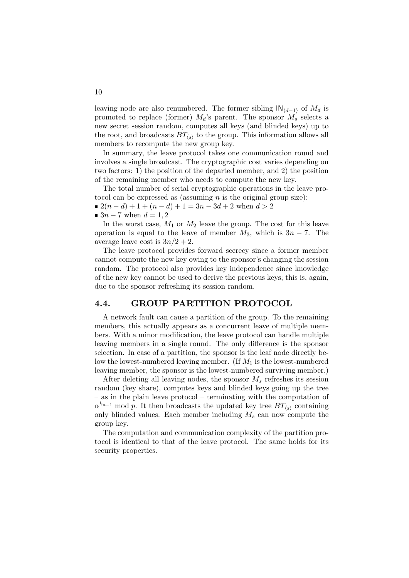leaving node are also renumbered. The former sibling  $\mathsf{IN}_{d-1}$  of  $M_d$  is promoted to replace (former)  $M_d$ 's parent. The sponsor  $M_s$  selects a new secret session random, computes all keys (and blinded keys) up to the root, and broadcasts  $BT_{\langle s \rangle}$  to the group. This information allows all members to recompute the new group key.

In summary, the leave protocol takes one communication round and involves a single broadcast. The cryptographic cost varies depending on two factors: 1) the position of the departed member, and 2) the position of the remaining member who needs to compute the new key.

The total number of serial cryptographic operations in the leave protocol can be expressed as (assuming  $n$  is the original group size):

 $2(n-d)+1+(n-d)+1=3n-3d+2$  when  $d>2$ 

 $\blacksquare$  3n – 7 when  $d = 1, 2$ 

In the worst case,  $M_1$  or  $M_2$  leave the group. The cost for this leave operation is equal to the leave of member  $M_3$ , which is  $3n-7$ . The average leave cost is  $3n/2 + 2$ .

The leave protocol provides forward secrecy since a former member cannot compute the new key owing to the sponsor's changing the session random. The protocol also provides key independence since knowledge of the new key cannot be used to derive the previous keys; this is, again, due to the sponsor refreshing its session random.

### 4.4. GROUP PARTITION PROTOCOL

A network fault can cause a partition of the group. To the remaining members, this actually appears as a concurrent leave of multiple members. With a minor modification, the leave protocol can handle multiple leaving members in a single round. The only difference is the sponsor selection. In case of a partition, the sponsor is the leaf node directly below the lowest-numbered leaving member. (If  $M_1$  is the lowest-numbered leaving member, the sponsor is the lowest-numbered surviving member.)

After deleting all leaving nodes, the sponsor  $M_s$  refreshes its session random (key share), computes keys and blinded keys going up the tree – as in the plain leave protocol – terminating with the computation of  $\alpha^{k_{n-1}}$  mod p. It then broadcasts the updated key tree  $BT_{\langle s \rangle}$  containing only blinded values. Each member including  $M_s$  can now compute the group key.

The computation and communication complexity of the partition protocol is identical to that of the leave protocol. The same holds for its security properties.

10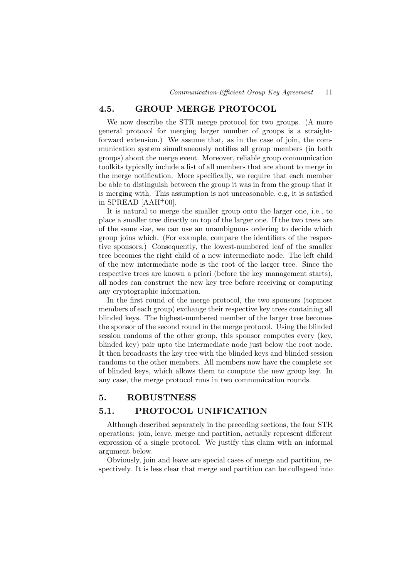# 4.5. GROUP MERGE PROTOCOL

We now describe the STR merge protocol for two groups. (A more general protocol for merging larger number of groups is a straightforward extension.) We assume that, as in the case of join, the communication system simultaneously notifies all group members (in both groups) about the merge event. Moreover, reliable group communication toolkits typically include a list of all members that are about to merge in the merge notification. More specifically, we require that each member be able to distinguish between the group it was in from the group that it is merging with. This assumption is not unreasonable, e.g, it is satisfied in SPREAD  $[AAH^+00]$ .

It is natural to merge the smaller group onto the larger one, i.e., to place a smaller tree directly on top of the larger one. If the two trees are of the same size, we can use an unambiguous ordering to decide which group joins which. (For example, compare the identifiers of the respective sponsors.) Consequently, the lowest-numbered leaf of the smaller tree becomes the right child of a new intermediate node. The left child of the new intermediate node is the root of the larger tree. Since the respective trees are known a priori (before the key management starts), all nodes can construct the new key tree before receiving or computing any cryptographic information.

In the first round of the merge protocol, the two sponsors (topmost members of each group) exchange their respective key trees containing all blinded keys. The highest-numbered member of the larger tree becomes the sponsor of the second round in the merge protocol. Using the blinded session randoms of the other group, this sponsor computes every (key, blinded key) pair upto the intermediate node just below the root node. It then broadcasts the key tree with the blinded keys and blinded session randoms to the other members. All members now have the complete set of blinded keys, which allows them to compute the new group key. In any case, the merge protocol runs in two communication rounds.

# 5. ROBUSTNESS

# 5.1. PROTOCOL UNIFICATION

Although described separately in the preceding sections, the four STR operations: join, leave, merge and partition, actually represent different expression of a single protocol. We justify this claim with an informal argument below.

Obviously, join and leave are special cases of merge and partition, respectively. It is less clear that merge and partition can be collapsed into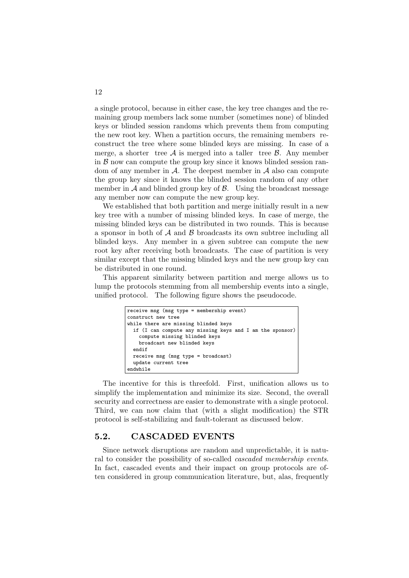a single protocol, because in either case, the key tree changes and the remaining group members lack some number (sometimes none) of blinded keys or blinded session randoms which prevents them from computing the new root key. When a partition occurs, the remaining members reconstruct the tree where some blinded keys are missing. In case of a merge, a shorter tree  $A$  is merged into a taller tree  $B$ . Any member in  $\beta$  now can compute the group key since it knows blinded session random of any member in  $A$ . The deepest member in  $A$  also can compute the group key since it knows the blinded session random of any other member in  $A$  and blinded group key of  $B$ . Using the broadcast message any member now can compute the new group key.

We established that both partition and merge initially result in a new key tree with a number of missing blinded keys. In case of merge, the missing blinded keys can be distributed in two rounds. This is because a sponsor in both of  $A$  and  $B$  broadcasts its own subtree including all blinded keys. Any member in a given subtree can compute the new root key after receiving both broadcasts. The case of partition is very similar except that the missing blinded keys and the new group key can be distributed in one round.

This apparent similarity between partition and merge allows us to lump the protocols stemming from all membership events into a single, unified protocol. The following figure shows the pseudocode.

```
receive msg (msg type = membership event)
construct new tree
while there are missing blinded keys
 if (I can compute any missing keys and I am the sponsor)
   compute missing blinded keys
   broadcast new blinded keys
 endif
 receive msg (msg type = broadcast)
 update current tree
endwhile
```
The incentive for this is threefold. First, unification allows us to simplify the implementation and minimize its size. Second, the overall security and correctness are easier to demonstrate with a single protocol. Third, we can now claim that (with a slight modification) the STR protocol is self-stabilizing and fault-tolerant as discussed below.

# 5.2. CASCADED EVENTS

Since network disruptions are random and unpredictable, it is natural to consider the possibility of so-called cascaded membership events. In fact, cascaded events and their impact on group protocols are often considered in group communication literature, but, alas, frequently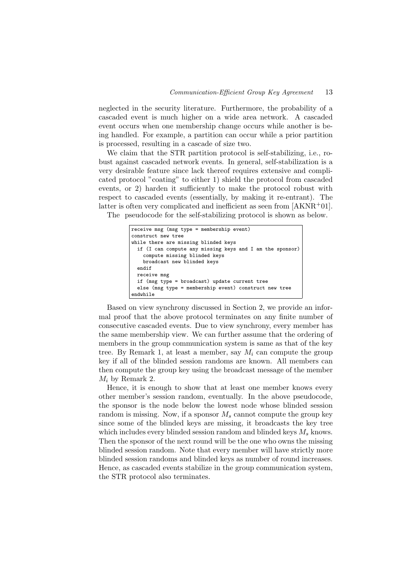neglected in the security literature. Furthermore, the probability of a cascaded event is much higher on a wide area network. A cascaded event occurs when one membership change occurs while another is being handled. For example, a partition can occur while a prior partition is processed, resulting in a cascade of size two.

We claim that the STR partition protocol is self-stabilizing, i.e., robust against cascaded network events. In general, self-stabilization is a very desirable feature since lack thereof requires extensive and complicated protocol "coating" to either 1) shield the protocol from cascaded events, or 2) harden it sufficiently to make the protocol robust with respect to cascaded events (essentially, by making it re-entrant). The latter is often very complicated and inefficient as seen from  $[AKNR+01]$ .

The pseudocode for the self-stabilizing protocol is shown as below.

| $receive$ msg $(msg$ type = membership event)            |
|----------------------------------------------------------|
| construct new tree                                       |
| while there are missing blinded keys                     |
| if (I can compute any missing keys and I am the sponsor) |
| compute missing blinded keys                             |
| broadcast new blinded keys                               |
| endif                                                    |
| receive msg                                              |
| if (msg type = broadcast) update current tree            |
| else (msg type = membership event) construct new tree    |
| endwhile                                                 |

Based on view synchrony discussed in Section 2, we provide an informal proof that the above protocol terminates on any finite number of consecutive cascaded events. Due to view synchrony, every member has the same membership view. We can further assume that the ordering of members in the group communication system is same as that of the key tree. By Remark 1, at least a member, say  $M_i$  can compute the group key if all of the blinded session randoms are known. All members can then compute the group key using the broadcast message of the member  $M_i$  by Remark 2.

Hence, it is enough to show that at least one member knows every other member's session random, eventually. In the above pseudocode, the sponsor is the node below the lowest node whose blinded session random is missing. Now, if a sponsor  $M_s$  cannot compute the group key since some of the blinded keys are missing, it broadcasts the key tree which includes every blinded session random and blinded keys  $M_s$  knows. Then the sponsor of the next round will be the one who owns the missing blinded session random. Note that every member will have strictly more blinded session randoms and blinded keys as number of round increases. Hence, as cascaded events stabilize in the group communication system, the STR protocol also terminates.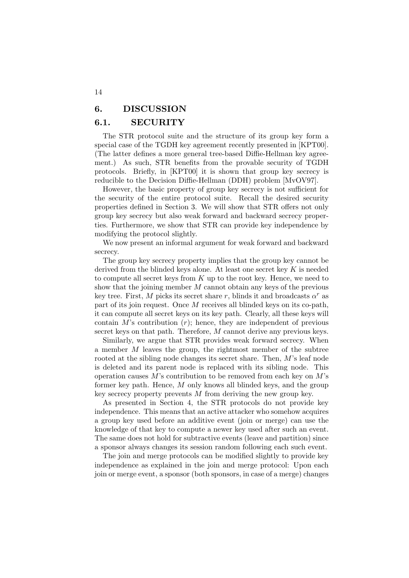# 6. DISCUSSION

### 6.1. SECURITY

The STR protocol suite and the structure of its group key form a special case of the TGDH key agreement recently presented in [KPT00]. (The latter defines a more general tree-based Diffie-Hellman key agreement.) As such, STR benefits from the provable security of TGDH protocols. Briefly, in [KPT00] it is shown that group key secrecy is reducible to the Decision Diffie-Hellman (DDH) problem [MvOV97].

However, the basic property of group key secrecy is not sufficient for the security of the entire protocol suite. Recall the desired security properties defined in Section 3. We will show that STR offers not only group key secrecy but also weak forward and backward secrecy properties. Furthermore, we show that STR can provide key independence by modifying the protocol slightly.

We now present an informal argument for weak forward and backward secrecy.

The group key secrecy property implies that the group key cannot be derived from the blinded keys alone. At least one secret key  $K$  is needed to compute all secret keys from  $K$  up to the root key. Hence, we need to show that the joining member  $M$  cannot obtain any keys of the previous key tree. First, M picks its secret share r, blinds it and broadcasts  $\alpha^r$  as part of its join request. Once M receives all blinded keys on its co-path, it can compute all secret keys on its key path. Clearly, all these keys will contain  $M$ 's contribution  $(r)$ ; hence, they are independent of previous secret keys on that path. Therefore, M cannot derive any previous keys.

Similarly, we argue that STR provides weak forward secrecy. When a member  $M$  leaves the group, the rightmost member of the subtree rooted at the sibling node changes its secret share. Then, M's leaf node is deleted and its parent node is replaced with its sibling node. This operation causes  $M$ 's contribution to be removed from each key on  $M$ 's former key path. Hence, M only knows all blinded keys, and the group key secrecy property prevents  $M$  from deriving the new group key.

As presented in Section 4, the STR protocols do not provide key independence. This means that an active attacker who somehow acquires a group key used before an additive event (join or merge) can use the knowledge of that key to compute a newer key used after such an event. The same does not hold for subtractive events (leave and partition) since a sponsor always changes its session random following each such event.

The join and merge protocols can be modified slightly to provide key independence as explained in the join and merge protocol: Upon each join or merge event, a sponsor (both sponsors, in case of a merge) changes

14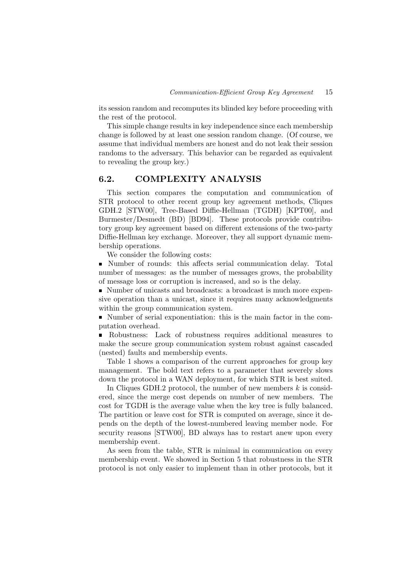its session random and recomputes its blinded key before proceeding with the rest of the protocol.

This simple change results in key independence since each membership change is followed by at least one session random change. (Of course, we assume that individual members are honest and do not leak their session randoms to the adversary. This behavior can be regarded as equivalent to revealing the group key.)

### 6.2. COMPLEXITY ANALYSIS

This section compares the computation and communication of STR protocol to other recent group key agreement methods, Cliques GDH.2 [STW00], Tree-Based Diffie-Hellman (TGDH) [KPT00], and Burmester/Desmedt (BD) [BD94]. These protocols provide contributory group key agreement based on different extensions of the two-party Diffie-Hellman key exchange. Moreover, they all support dynamic membership operations.

We consider the following costs:

Number of rounds: this affects serial communication delay. Total number of messages: as the number of messages grows, the probability of message loss or corruption is increased, and so is the delay.

Number of unicasts and broadcasts: a broadcast is much more expensive operation than a unicast, since it requires many acknowledgments within the group communication system.

Number of serial exponentiation: this is the main factor in the computation overhead.

Robustness: Lack of robustness requires additional measures to make the secure group communication system robust against cascaded (nested) faults and membership events.

Table 1 shows a comparison of the current approaches for group key management. The bold text refers to a parameter that severely slows down the protocol in a WAN deployment, for which STR is best suited.

In Cliques GDH.2 protocol, the number of new members  $k$  is considered, since the merge cost depends on number of new members. The cost for TGDH is the average value when the key tree is fully balanced. The partition or leave cost for STR is computed on average, since it depends on the depth of the lowest-numbered leaving member node. For security reasons [STW00], BD always has to restart anew upon every membership event.

As seen from the table, STR is minimal in communication on every membership event. We showed in Section 5 that robustness in the STR protocol is not only easier to implement than in other protocols, but it